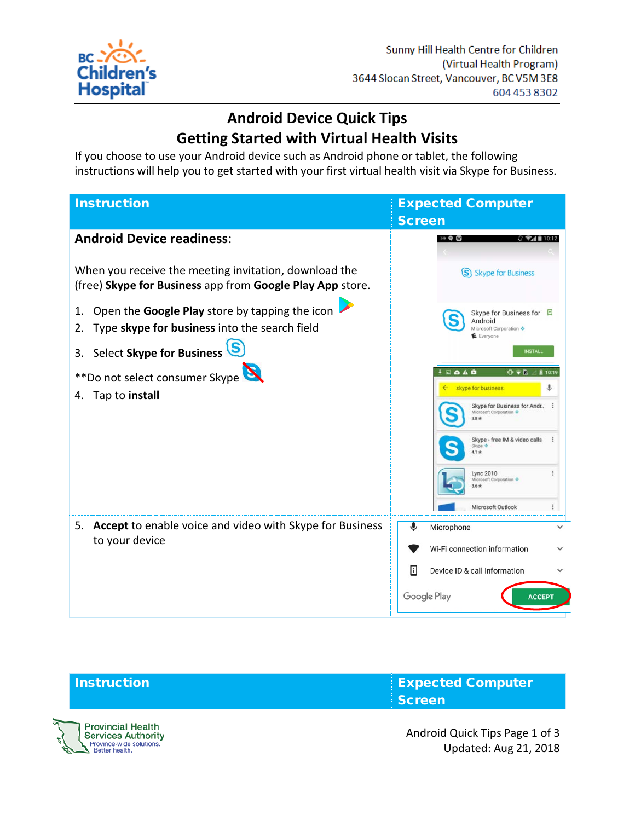

**Services Authority** Province-wide solutions.<br>Better health.

## **Android Device Quick Tips Getting Started with Virtual Health Visits**

If you choose to use your Android device such as Android phone or tablet, the following instructions will help you to get started with your first virtual health visit via Skype for Business.

| <b>Instruction</b>                                                                                                 | <b>Expected Computer</b>                                                      |
|--------------------------------------------------------------------------------------------------------------------|-------------------------------------------------------------------------------|
|                                                                                                                    | <b>Screen</b>                                                                 |
| <b>Android Device readiness:</b>                                                                                   | 841 Q W<br>$Q \approx 10.12$                                                  |
| When you receive the meeting invitation, download the<br>(free) Skype for Business app from Google Play App store. | S Skype for Business                                                          |
| Open the Google Play store by tapping the icon<br>1.<br>Type skype for business into the search field<br>2.        | Skype for Business for<br>Android<br>Microsoft Corporation ↓<br>E Everyone    |
| Select Skype for Business<br>3.                                                                                    | <b>INSTALL</b>                                                                |
| **Do not select consumer Skype                                                                                     | $\mathbf{1}$ . $\mathbf{0}$ . A . $\mathbf{0}$<br>$O \bullet R$ $\perp$ 10:19 |
| Tap to install<br>4.                                                                                               | J,<br>skype for business<br>$\leftarrow$                                      |
|                                                                                                                    | Skype for Business for Andr :<br>Microsoft Corporation<br>$3.8*$              |
|                                                                                                                    | Skype - free IM & video calls<br>Skype $\Phi$<br>$4.1*$                       |
|                                                                                                                    | Lync 2010<br>Microsoft Corporation<br>$3.6$ *                                 |
|                                                                                                                    | Microsoft Outlook                                                             |
| Accept to enable voice and video with Skype for Business<br>5.<br>to your device                                   | €<br>Microphone                                                               |
|                                                                                                                    | Wi-Fi connection information                                                  |
|                                                                                                                    | 同<br>Device ID & call information                                             |
|                                                                                                                    | Google Play<br><b>ACCEPT</b>                                                  |



Android Quick Tips Page 1 of 3 Updated: Aug 21, 2018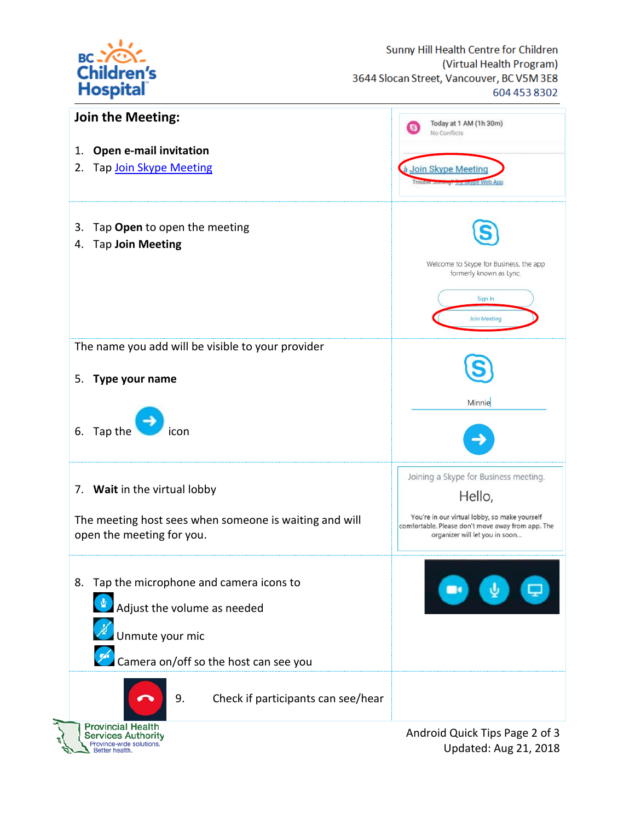



Updated: Aug 21, 2018